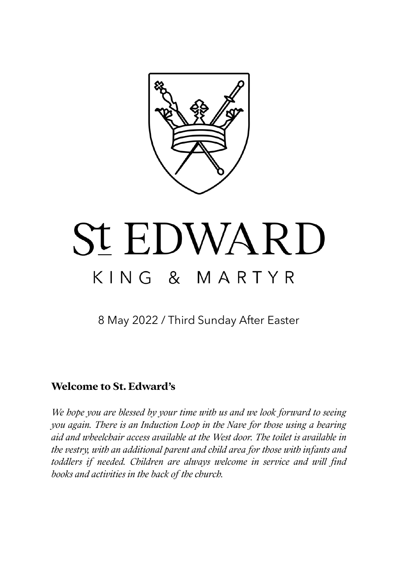

# **St EDWARD** KING & MARTYR

8 May 2022 / Third Sunday After Easter

### **Welcome to St. Edward's**

*We hope you are blessed by your time with us and we look forward to seeing you again. There is an Induction Loop in the Nave for those using a hearing aid and wheelchair access available at the West door. The toilet is available in the vestry, with an additional parent and child area for those with infants and toddlers if needed. Children are always welcome in service and will find books and activities in the back of the church.*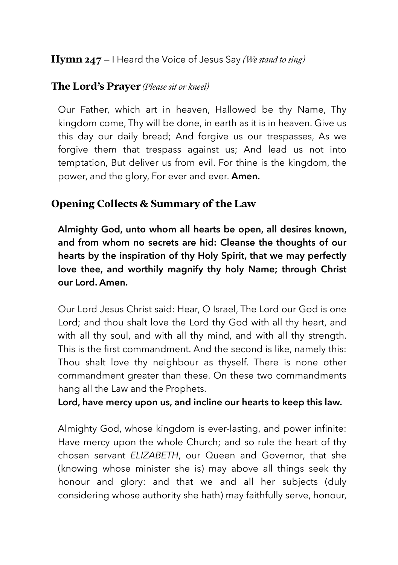### **Hymn 247** — I Heard the Voice of Jesus Say *(We stand to sing)*

#### **The Lord's Prayer** *(Please sit or kneel)*

Our Father, which art in heaven, Hallowed be thy Name, Thy kingdom come, Thy will be done, in earth as it is in heaven. Give us this day our daily bread; And forgive us our trespasses, As we forgive them that trespass against us; And lead us not into temptation, But deliver us from evil. For thine is the kingdom, the power, and the glory, For ever and ever. **Amen.**

#### **Opening Collects & Summary of the Law**

**Almighty God, unto whom all hearts be open, all desires known, and from whom no secrets are hid: Cleanse the thoughts of our hearts by the inspiration of thy Holy Spirit, that we may perfectly love thee, and worthily magnify thy holy Name; through Christ our Lord. Amen.** 

Our Lord Jesus Christ said: Hear, O Israel, The Lord our God is one Lord; and thou shalt love the Lord thy God with all thy heart, and with all thy soul, and with all thy mind, and with all thy strength. This is the first commandment. And the second is like, namely this: Thou shalt love thy neighbour as thyself. There is none other commandment greater than these. On these two commandments hang all the Law and the Prophets.

#### **Lord, have mercy upon us, and incline our hearts to keep this law.**

Almighty God, whose kingdom is ever-lasting, and power infinite: Have mercy upon the whole Church; and so rule the heart of thy chosen servant *ELIZABETH*, our Queen and Governor, that she (knowing whose minister she is) may above all things seek thy honour and glory: and that we and all her subjects (duly considering whose authority she hath) may faithfully serve, honour,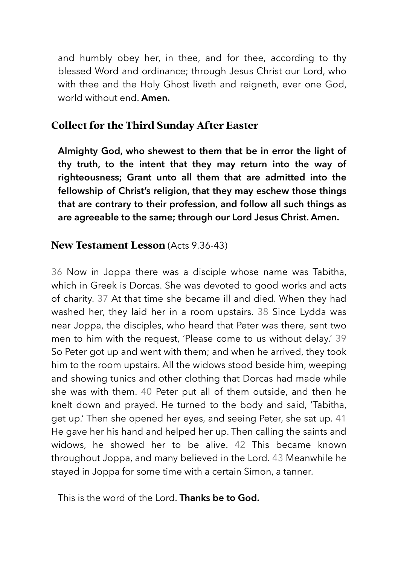and humbly obey her, in thee, and for thee, according to thy blessed Word and ordinance; through Jesus Christ our Lord, who with thee and the Holy Ghost liveth and reigneth, ever one God, world without end. **Amen.** 

#### **Collect for the Third Sunday After Easter**

**Almighty God, who shewest to them that be in error the light of thy truth, to the intent that they may return into the way of righteousness; Grant unto all them that are admitted into the fellowship of Christ's religion, that they may eschew those things that are contrary to their profession, and follow all such things as are agreeable to the same; through our Lord Jesus Christ. Amen.** 

#### **New Testament Lesson** (Acts 9.36-43)

36 Now in Joppa there was a disciple whose name was Tabitha, which in Greek is Dorcas. She was devoted to good works and acts of charity. 37 At that time she became ill and died. When they had washed her, they laid her in a room upstairs. 38 Since Lydda was near Joppa, the disciples, who heard that Peter was there, sent two men to him with the request, 'Please come to us without delay.' 39 So Peter got up and went with them; and when he arrived, they took him to the room upstairs. All the widows stood beside him, weeping and showing tunics and other clothing that Dorcas had made while she was with them. 40 Peter put all of them outside, and then he knelt down and prayed. He turned to the body and said, 'Tabitha, get up.' Then she opened her eyes, and seeing Peter, she sat up. 41 He gave her his hand and helped her up. Then calling the saints and widows, he showed her to be alive. 42 This became known throughout Joppa, and many believed in the Lord. 43 Meanwhile he stayed in Joppa for some time with a certain Simon, a tanner.

This is the word of the Lord. **Thanks be to God.**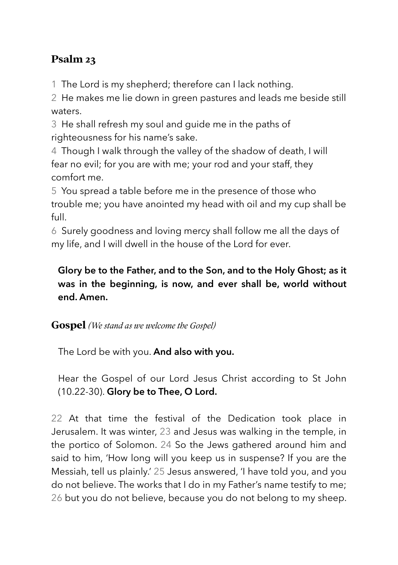# **Psalm 23**

1 The Lord is my shepherd; therefore can I lack nothing.

2 He makes me lie down in green pastures and leads me beside still waters.

3 He shall refresh my soul and guide me in the paths of righteousness for his name's sake.

4 Though I walk through the valley of the shadow of death, I will fear no evil; for you are with me; your rod and your staff, they comfort me.

5 You spread a table before me in the presence of those who trouble me; you have anointed my head with oil and my cup shall be full.

6 Surely goodness and loving mercy shall follow me all the days of my life, and I will dwell in the house of the Lord for ever.

# **Glory be to the Father, and to the Son, and to the Holy Ghost; as it was in the beginning, is now, and ever shall be, world without end. Amen.**

# **Gospel** *(We stand as we welcome the Gospel)*

The Lord be with you. **And also with you.** 

Hear the Gospel of our Lord Jesus Christ according to St John (10.22-30). **Glory be to Thee, O Lord.** 

22 At that time the festival of the Dedication took place in Jerusalem. It was winter, 23 and Jesus was walking in the temple, in the portico of Solomon. 24 So the Jews gathered around him and said to him, 'How long will you keep us in suspense? If you are the Messiah, tell us plainly.' 25 Jesus answered, 'I have told you, and you do not believe. The works that I do in my Father's name testify to me; 26 but you do not believe, because you do not belong to my sheep.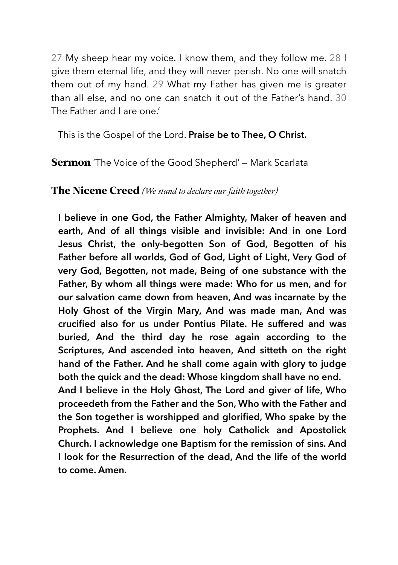27 My sheep hear my voice. I know them, and they follow me. 28 I give them eternal life, and they will never perish. No one will snatch them out of my hand. 29 What my Father has given me is greater than all else, and no one can snatch it out of the Father's hand. 30 The Father and I are one.'

This is the Gospel of the Lord. **Praise be to Thee, O Christ.**

**Sermon** 'The Voice of the Good Shepherd' — Mark Scarlata

#### **The Nicene Creed** *(We stand to declare our faith together)*

**I believe in one God, the Father Almighty, Maker of heaven and earth, And of all things visible and invisible: And in one Lord Jesus Christ, the only-begotten Son of God, Begotten of his Father before all worlds, God of God, Light of Light, Very God of very God, Begotten, not made, Being of one substance with the Father, By whom all things were made: Who for us men, and for our salvation came down from heaven, And was incarnate by the Holy Ghost of the Virgin Mary, And was made man, And was crucified also for us under Pontius Pilate. He suffered and was buried, And the third day he rose again according to the Scriptures, And ascended into heaven, And sitteth on the right hand of the Father. And he shall come again with glory to judge both the quick and the dead: Whose kingdom shall have no end. And I believe in the Holy Ghost, The Lord and giver of life, Who proceedeth from the Father and the Son, Who with the Father and the Son together is worshipped and glorified, Who spake by the Prophets. And I believe one holy Catholick and Apostolick Church. I acknowledge one Baptism for the remission of sins. And I look for the Resurrection of the dead, And the life of the world** 

**to come. Amen.**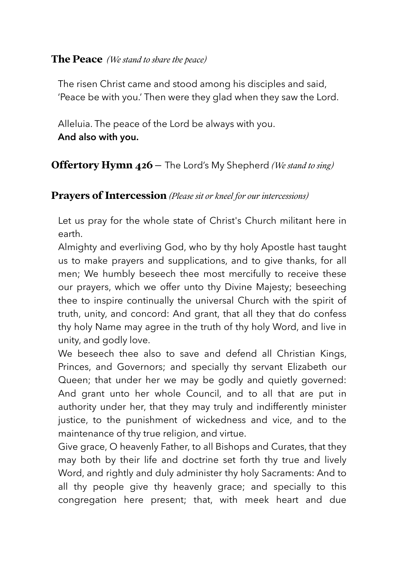#### **The Peace** *(We stand to share the peace)*

The risen Christ came and stood among his disciples and said, 'Peace be with you.' Then were they glad when they saw the Lord.

Alleluia. The peace of the Lord be always with you. **And also with you.** 

# **Offertory Hymn 426** – The Lord's My Shepherd *(We stand to sing)*

### **Prayers of Intercession** *(Please sit or kneel for our intercessions)*

Let us pray for the whole state of Christ's Church militant here in earth.

Almighty and everliving God, who by thy holy Apostle hast taught us to make prayers and supplications, and to give thanks, for all men; We humbly beseech thee most mercifully to receive these our prayers, which we offer unto thy Divine Majesty; beseeching thee to inspire continually the universal Church with the spirit of truth, unity, and concord: And grant, that all they that do confess thy holy Name may agree in the truth of thy holy Word, and live in unity, and godly love.

We beseech thee also to save and defend all Christian Kings, Princes, and Governors; and specially thy servant Elizabeth our Queen; that under her we may be godly and quietly governed: And grant unto her whole Council, and to all that are put in authority under her, that they may truly and indifferently minister justice, to the punishment of wickedness and vice, and to the maintenance of thy true religion, and virtue.

Give grace, O heavenly Father, to all Bishops and Curates, that they may both by their life and doctrine set forth thy true and lively Word, and rightly and duly administer thy holy Sacraments: And to all thy people give thy heavenly grace; and specially to this congregation here present; that, with meek heart and due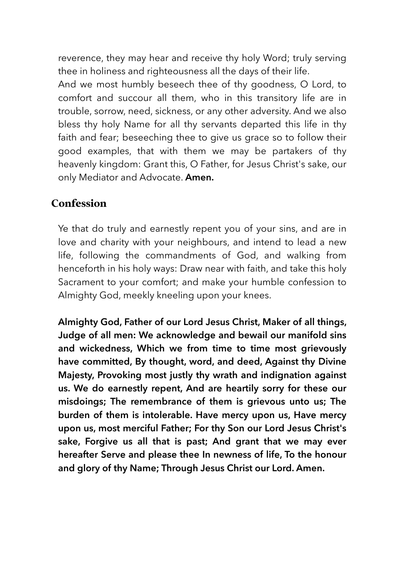reverence, they may hear and receive thy holy Word; truly serving thee in holiness and righteousness all the days of their life.

And we most humbly beseech thee of thy goodness, O Lord, to comfort and succour all them, who in this transitory life are in trouble, sorrow, need, sickness, or any other adversity. And we also bless thy holy Name for all thy servants departed this life in thy faith and fear; beseeching thee to give us grace so to follow their good examples, that with them we may be partakers of thy heavenly kingdom: Grant this, O Father, for Jesus Christ's sake, our only Mediator and Advocate. **Amen.**

## **Confession**

Ye that do truly and earnestly repent you of your sins, and are in love and charity with your neighbours, and intend to lead a new life, following the commandments of God, and walking from henceforth in his holy ways: Draw near with faith, and take this holy Sacrament to your comfort; and make your humble confession to Almighty God, meekly kneeling upon your knees.

**Almighty God, Father of our Lord Jesus Christ, Maker of all things, Judge of all men: We acknowledge and bewail our manifold sins and wickedness, Which we from time to time most grievously have committed, By thought, word, and deed, Against thy Divine Majesty, Provoking most justly thy wrath and indignation against us. We do earnestly repent, And are heartily sorry for these our misdoings; The remembrance of them is grievous unto us; The burden of them is intolerable. Have mercy upon us, Have mercy upon us, most merciful Father; For thy Son our Lord Jesus Christ's sake, Forgive us all that is past; And grant that we may ever hereafter Serve and please thee In newness of life, To the honour and glory of thy Name; Through Jesus Christ our Lord. Amen.**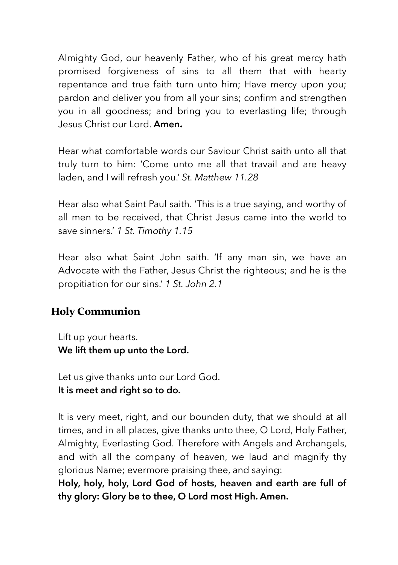Almighty God, our heavenly Father, who of his great mercy hath promised forgiveness of sins to all them that with hearty repentance and true faith turn unto him; Have mercy upon you; pardon and deliver you from all your sins; confirm and strengthen you in all goodness; and bring you to everlasting life; through Jesus Christ our Lord. **Amen.**

Hear what comfortable words our Saviour Christ saith unto all that truly turn to him: 'Come unto me all that travail and are heavy laden, and I will refresh you.' *St. Matthew 11.28*

Hear also what Saint Paul saith. 'This is a true saying, and worthy of all men to be received, that Christ Jesus came into the world to save sinners.' *1 St. Timothy 1.15*

Hear also what Saint John saith. 'If any man sin, we have an Advocate with the Father, Jesus Christ the righteous; and he is the propitiation for our sins.' *1 St. John 2.1*

# **Holy Communion**

Lift up your hearts. **We lift them up unto the Lord.** 

Let us give thanks unto our Lord God. **It is meet and right so to do.** 

It is very meet, right, and our bounden duty, that we should at all times, and in all places, give thanks unto thee, O Lord, Holy Father, Almighty, Everlasting God. Therefore with Angels and Archangels, and with all the company of heaven, we laud and magnify thy glorious Name; evermore praising thee, and saying:

**Holy, holy, holy, Lord God of hosts, heaven and earth are full of thy glory: Glory be to thee, O Lord most High. Amen.**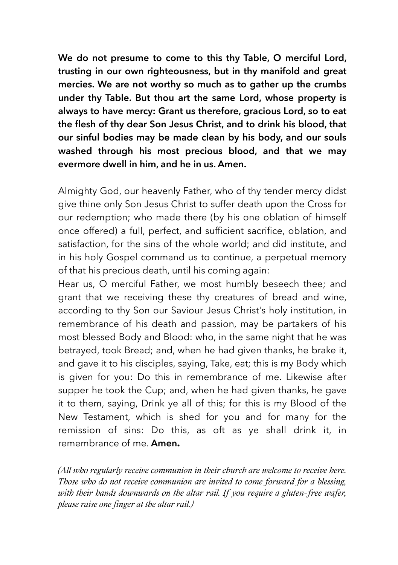**We do not presume to come to this thy Table, O merciful Lord, trusting in our own righteousness, but in thy manifold and great mercies. We are not worthy so much as to gather up the crumbs under thy Table. But thou art the same Lord, whose property is always to have mercy: Grant us therefore, gracious Lord, so to eat the flesh of thy dear Son Jesus Christ, and to drink his blood, that our sinful bodies may be made clean by his body, and our souls washed through his most precious blood, and that we may evermore dwell in him, and he in us. Amen.** 

Almighty God, our heavenly Father, who of thy tender mercy didst give thine only Son Jesus Christ to suffer death upon the Cross for our redemption; who made there (by his one oblation of himself once offered) a full, perfect, and sufficient sacrifice, oblation, and satisfaction, for the sins of the whole world; and did institute, and in his holy Gospel command us to continue, a perpetual memory of that his precious death, until his coming again:

Hear us, O merciful Father, we most humbly beseech thee; and grant that we receiving these thy creatures of bread and wine, according to thy Son our Saviour Jesus Christ's holy institution, in remembrance of his death and passion, may be partakers of his most blessed Body and Blood: who, in the same night that he was betrayed, took Bread; and, when he had given thanks, he brake it, and gave it to his disciples, saying, Take, eat; this is my Body which is given for you: Do this in remembrance of me. Likewise after supper he took the Cup; and, when he had given thanks, he gave it to them, saying, Drink ye all of this; for this is my Blood of the New Testament, which is shed for you and for many for the remission of sins: Do this, as oft as ye shall drink it, in remembrance of me. **Amen.**

*(All who regularly receive communion in their church are welcome to receive here. Those who do not receive communion are invited to come forward for a blessing, with their hands downwards on the altar rail. If you require a gluten-free wafer, please raise one finger at the altar rail.)*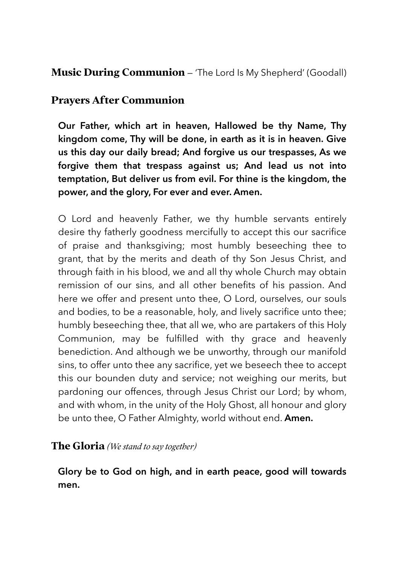## **Music During Communion** — 'The Lord Is My Shepherd' (Goodall)

## **Prayers After Communion**

**Our Father, which art in heaven, Hallowed be thy Name, Thy kingdom come, Thy will be done, in earth as it is in heaven. Give us this day our daily bread; And forgive us our trespasses, As we forgive them that trespass against us; And lead us not into temptation, But deliver us from evil. For thine is the kingdom, the power, and the glory, For ever and ever. Amen.** 

O Lord and heavenly Father, we thy humble servants entirely desire thy fatherly goodness mercifully to accept this our sacrifice of praise and thanksgiving; most humbly beseeching thee to grant, that by the merits and death of thy Son Jesus Christ, and through faith in his blood, we and all thy whole Church may obtain remission of our sins, and all other benefits of his passion. And here we offer and present unto thee, O Lord, ourselves, our souls and bodies, to be a reasonable, holy, and lively sacrifice unto thee; humbly beseeching thee, that all we, who are partakers of this Holy Communion, may be fulfilled with thy grace and heavenly benediction. And although we be unworthy, through our manifold sins, to offer unto thee any sacrifice, yet we beseech thee to accept this our bounden duty and service; not weighing our merits, but pardoning our offences, through Jesus Christ our Lord; by whom, and with whom, in the unity of the Holy Ghost, all honour and glory be unto thee, O Father Almighty, world without end. **Amen.** 

### **The Gloria** *(We stand to say together)*

**Glory be to God on high, and in earth peace, good will towards men.**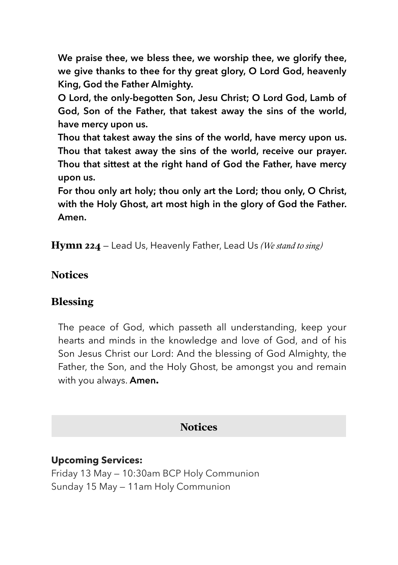**We praise thee, we bless thee, we worship thee, we glorify thee, we give thanks to thee for thy great glory, O Lord God, heavenly King, God the Father Almighty.** 

**O Lord, the only-begotten Son, Jesu Christ; O Lord God, Lamb of God, Son of the Father, that takest away the sins of the world, have mercy upon us.** 

**Thou that takest away the sins of the world, have mercy upon us. Thou that takest away the sins of the world, receive our prayer. Thou that sittest at the right hand of God the Father, have mercy upon us.** 

**For thou only art holy; thou only art the Lord; thou only, O Christ, with the Holy Ghost, art most high in the glory of God the Father. Amen.** 

**Hymn 224** — Lead Us, Heavenly Father, Lead Us *(We stand to sing)*

#### **Notices**

#### **Blessing**

The peace of God, which passeth all understanding, keep your hearts and minds in the knowledge and love of God, and of his Son Jesus Christ our Lord: And the blessing of God Almighty, the Father, the Son, and the Holy Ghost, be amongst you and remain with you always. **Amen.** 

#### **Notices**

#### **Upcoming Services:**

Friday 13 May — 10:30am BCP Holy Communion Sunday 15 May — 11am Holy Communion